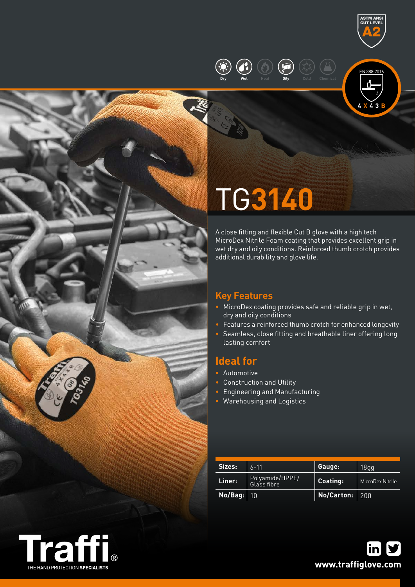







# TG**3140**

A close fitting and flexible Cut B glove with a high tech MicroDex Nitrile Foam coating that provides excellent grip in wet dry and oily conditions. Reinforced thumb crotch provides additional durability and glove life.

## **Key Features**

- MicroDex coating provides safe and reliable grip in wet, dry and oily conditions
- Features a reinforced thumb crotch for enhanced longevity
- Seamless, close fitting and breathable liner offering long lasting comfort

## **Ideal for**

- Automotive
- Construction and Utility
- Engineering and Manufacturing
- Warehousing and Logistics

| Sizes:     | $6 - 11$                       | Gauge:            | 18gg             |
|------------|--------------------------------|-------------------|------------------|
| Liner:     | Polyamide/HPPE/<br>Glass fibre | Coating:          | MicroDex Nitrile |
| No/Bag: 10 |                                | No/Carton: $ 200$ |                  |